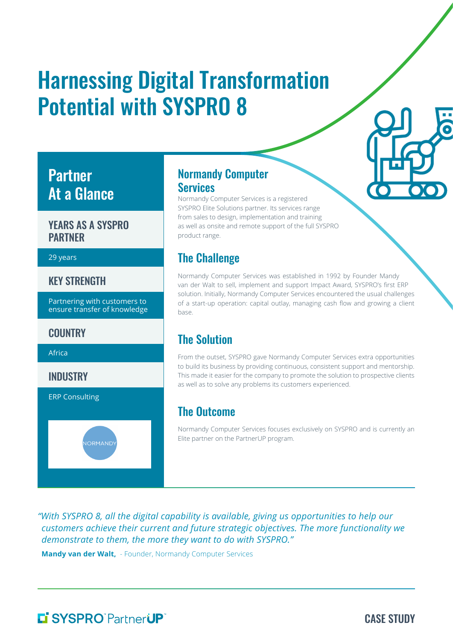# Harnessing Digital Transformation Potential with SYSPRO 8

# Partner At a Glance

#### YEARS AS A SYSPRO PARTNER

#### 29 years

#### KEY STRENGTH

Partnering with customers to ensure transfer of knowledge

**JORMAND** 

#### **COUNTRY**

Africa

**INDUSTRY** 

ERP Consulting

#### Normandy Computer **Services**

Normandy Computer Services is a registered SYSPRO Elite Solutions partner. Its services range from sales to design, implementation and training as well as onsite and remote support of the full SYSPRO product range.

#### The Challenge

Normandy Computer Services was established in 1992 by Founder Mandy van der Walt to sell, implement and support Impact Award, SYSPRO's first ERP solution. Initially, Normandy Computer Services encountered the usual challenges of a start-up operation: capital outlay, managing cash flow and growing a client base.

## The Solution

From the outset, SYSPRO gave Normandy Computer Services extra opportunities to build its business by providing continuous, consistent support and mentorship. This made it easier for the company to promote the solution to prospective clients as well as to solve any problems its customers experienced.

#### The Outcome

Normandy Computer Services focuses exclusively on SYSPRO and is currently an Elite partner on the PartnerUP program.

*"With SYSPRO 8, all the digital capability is available, giving us opportunities to help our customers achieve their current and future strategic objectives. The more functionality we demonstrate to them, the more they want to do with SYSPRO."* 

**Mandy van der Walt,** - Founder, Normandy Computer Services

# L' SYSPRO<sup>®</sup>PartnerUP®

CASE STUDY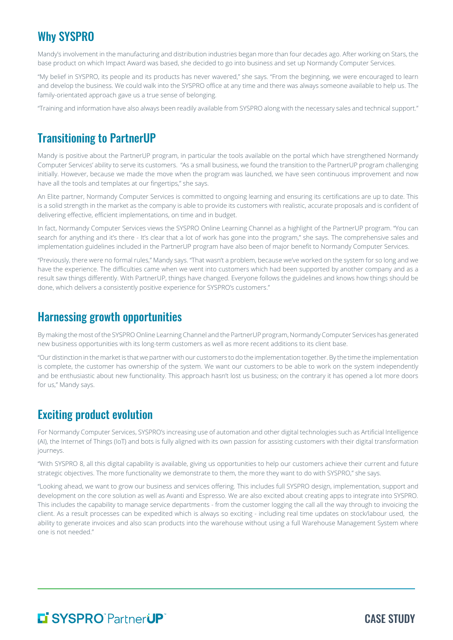# Why SYSPRO

Mandy's involvement in the manufacturing and distribution industries began more than four decades ago. After working on Stars, the base product on which Impact Award was based, she decided to go into business and set up Normandy Computer Services.

"My belief in SYSPRO, its people and its products has never wavered," she says. "From the beginning, we were encouraged to learn and develop the business. We could walk into the SYSPRO office at any time and there was always someone available to help us. The family-orientated approach gave us a true sense of belonging.

"Training and information have also always been readily available from SYSPRO along with the necessary sales and technical support."

## Transitioning to PartnerUP

Mandy is positive about the PartnerUP program, in particular the tools available on the portal which have strengthened Normandy Computer Services' ability to serve its customers. "As a small business, we found the transition to the PartnerUP program challenging initially. However, because we made the move when the program was launched, we have seen continuous improvement and now have all the tools and templates at our fingertips," she says.

An Elite partner, Normandy Computer Services is committed to ongoing learning and ensuring its certifications are up to date. This is a solid strength in the market as the company is able to provide its customers with realistic, accurate proposals and is confident of delivering effective, efficient implementations, on time and in budget.

In fact, Normandy Computer Services views the SYSPRO Online Learning Channel as a highlight of the PartnerUP program. "You can search for anything and it's there - It's clear that a lot of work has gone into the program," she says. The comprehensive sales and implementation guidelines included in the PartnerUP program have also been of major benefit to Normandy Computer Services.

"Previously, there were no formal rules," Mandy says. "That wasn't a problem, because we've worked on the system for so long and we have the experience. The difficulties came when we went into customers which had been supported by another company and as a result saw things differently. With PartnerUP, things have changed. Everyone follows the guidelines and knows how things should be done, which delivers a consistently positive experience for SYSPRO's customers."

#### Harnessing growth opportunities

By making the most of the SYSPRO Online Learning Channel and the PartnerUP program, Normandy Computer Services has generated new business opportunities with its long-term customers as well as more recent additions to its client base.

"Our distinction in the market is that we partner with our customers to do the implementation together. By the time the implementation is complete, the customer has ownership of the system. We want our customers to be able to work on the system independently and be enthusiastic about new functionality. This approach hasn't lost us business; on the contrary it has opened a lot more doors for us," Mandy says.

# Exciting product evolution

For Normandy Computer Services, SYSPRO's increasing use of automation and other digital technologies such as Artificial Intelligence (AI), the Internet of Things (IoT) and bots is fully aligned with its own passion for assisting customers with their digital transformation journeys.

"With SYSPRO 8, all this digital capability is available, giving us opportunities to help our customers achieve their current and future strategic objectives. The more functionality we demonstrate to them, the more they want to do with SYSPRO," she says.

"Looking ahead, we want to grow our business and services offering. This includes full SYSPRO design, implementation, support and development on the core solution as well as Avanti and Espresso. We are also excited about creating apps to integrate into SYSPRO. This includes the capability to manage service departments - from the customer logging the call all the way through to invoicing the client. As a result processes can be expedited which is always so exciting - including real time updates on stock/labour used, the ability to generate invoices and also scan products into the warehouse without using a full Warehouse Management System where one is not needed."

# **Li SYSPRO PartnerUP**

CASE STUDY